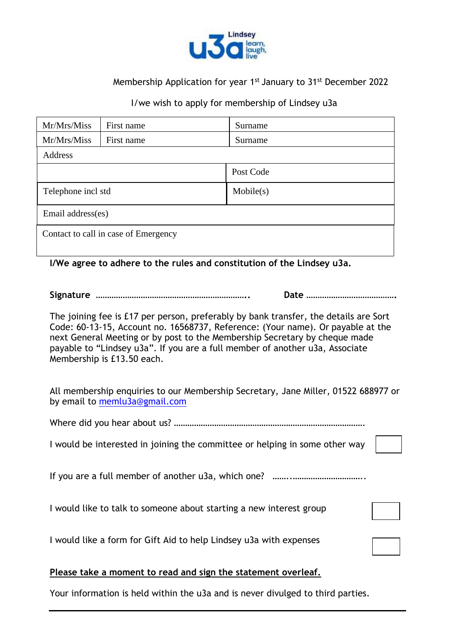

## Membership Application for year 1<sup>st</sup> January to 31<sup>st</sup> December 2022

#### I/we wish to apply for membership of Lindsey u3a

| Mr/Mrs/Miss                          | First name | Surname   |  |  |  |
|--------------------------------------|------------|-----------|--|--|--|
| Mr/Mrs/Miss                          | First name | Surname   |  |  |  |
| Address                              |            |           |  |  |  |
|                                      |            | Post Code |  |  |  |
| Telephone incl std                   |            | Mobile(s) |  |  |  |
| Email address(es)                    |            |           |  |  |  |
| Contact to call in case of Emergency |            |           |  |  |  |
|                                      |            |           |  |  |  |

#### **I/We agree to adhere to the rules and constitution of the Lindsey u3a.**

**Signature ………………………………………………………….. Date ………………………………….**

The joining fee is £17 per person, preferably by bank transfer, the details are Sort Code: 60-13-15, Account no. 16568737, Reference: (Your name). Or payable at the next General Meeting or by post to the Membership Secretary by cheque made payable to "Lindsey u3a". If you are a full member of another u3a, Associate Membership is £13.50 each.

All membership enquiries to our Membership Secretary, Jane Miller, 01522 688977 or by email to [memlu3a@gmail.com](mailto:memlu3a@gmail.com)

Where did you hear about us? ………………………………………………………………………….

I would be interested in joining the committee or helping in some other way

If you are a full member of another u3a, which one? ………………………………………

I would like to talk to someone about starting a new interest group

I would like a form for Gift Aid to help Lindsey u3a with expenses

### **Please take a moment to read and sign the statement overleaf.**

Your information is held within the u3a and is never divulged to third parties.